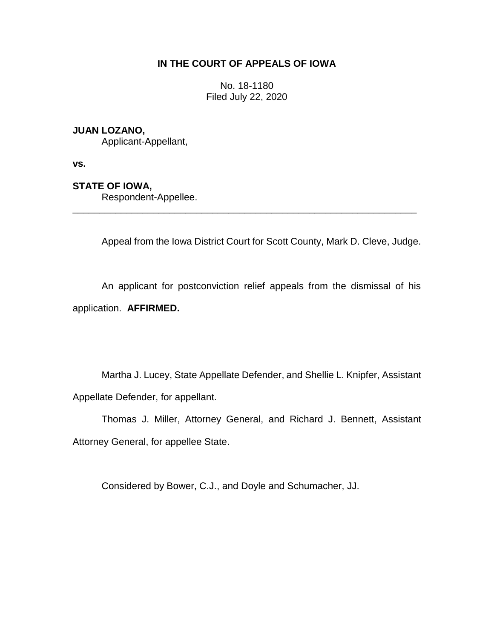# **IN THE COURT OF APPEALS OF IOWA**

No. 18-1180 Filed July 22, 2020

## **JUAN LOZANO,**

Applicant-Appellant,

**vs.**

## **STATE OF IOWA,**

Respondent-Appellee.

Appeal from the Iowa District Court for Scott County, Mark D. Cleve, Judge.

An applicant for postconviction relief appeals from the dismissal of his application. **AFFIRMED.**

\_\_\_\_\_\_\_\_\_\_\_\_\_\_\_\_\_\_\_\_\_\_\_\_\_\_\_\_\_\_\_\_\_\_\_\_\_\_\_\_\_\_\_\_\_\_\_\_\_\_\_\_\_\_\_\_\_\_\_\_\_\_\_\_

Martha J. Lucey, State Appellate Defender, and Shellie L. Knipfer, Assistant Appellate Defender, for appellant.

Thomas J. Miller, Attorney General, and Richard J. Bennett, Assistant Attorney General, for appellee State.

Considered by Bower, C.J., and Doyle and Schumacher, JJ.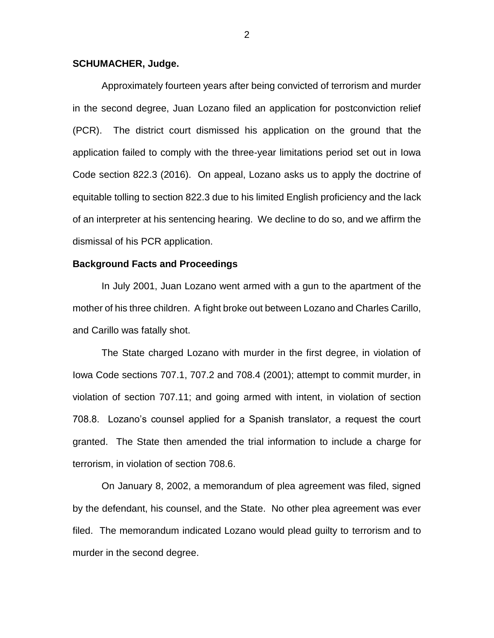## **SCHUMACHER, Judge.**

Approximately fourteen years after being convicted of terrorism and murder in the second degree, Juan Lozano filed an application for postconviction relief (PCR). The district court dismissed his application on the ground that the application failed to comply with the three-year limitations period set out in Iowa Code section 822.3 (2016). On appeal, Lozano asks us to apply the doctrine of equitable tolling to section 822.3 due to his limited English proficiency and the lack of an interpreter at his sentencing hearing. We decline to do so, and we affirm the dismissal of his PCR application.

## **Background Facts and Proceedings**

In July 2001, Juan Lozano went armed with a gun to the apartment of the mother of his three children. A fight broke out between Lozano and Charles Carillo, and Carillo was fatally shot.

The State charged Lozano with murder in the first degree, in violation of Iowa Code sections 707.1, 707.2 and 708.4 (2001); attempt to commit murder, in violation of section 707.11; and going armed with intent, in violation of section 708.8. Lozano's counsel applied for a Spanish translator, a request the court granted. The State then amended the trial information to include a charge for terrorism, in violation of section 708.6.

On January 8, 2002, a memorandum of plea agreement was filed, signed by the defendant, his counsel, and the State. No other plea agreement was ever filed. The memorandum indicated Lozano would plead guilty to terrorism and to murder in the second degree.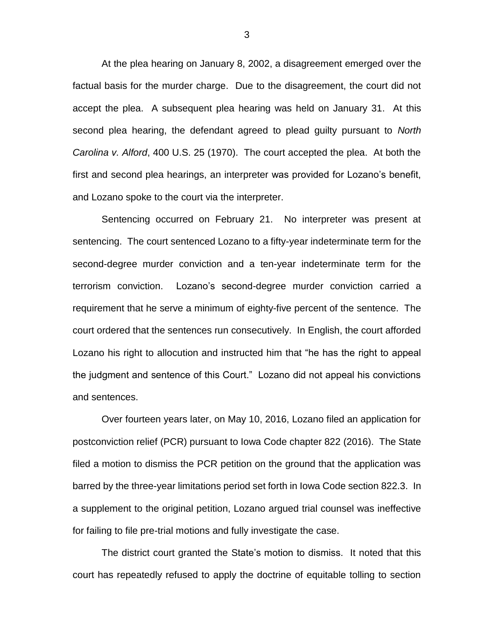At the plea hearing on January 8, 2002, a disagreement emerged over the factual basis for the murder charge. Due to the disagreement, the court did not accept the plea. A subsequent plea hearing was held on January 31. At this second plea hearing, the defendant agreed to plead guilty pursuant to *North Carolina v. Alford*, 400 U.S. 25 (1970). The court accepted the plea. At both the first and second plea hearings, an interpreter was provided for Lozano's benefit, and Lozano spoke to the court via the interpreter.

Sentencing occurred on February 21. No interpreter was present at sentencing. The court sentenced Lozano to a fifty-year indeterminate term for the second-degree murder conviction and a ten-year indeterminate term for the terrorism conviction. Lozano's second-degree murder conviction carried a requirement that he serve a minimum of eighty-five percent of the sentence. The court ordered that the sentences run consecutively. In English, the court afforded Lozano his right to allocution and instructed him that "he has the right to appeal the judgment and sentence of this Court." Lozano did not appeal his convictions and sentences.

Over fourteen years later, on May 10, 2016, Lozano filed an application for postconviction relief (PCR) pursuant to Iowa Code chapter 822 (2016). The State filed a motion to dismiss the PCR petition on the ground that the application was barred by the three-year limitations period set forth in Iowa Code section 822.3. In a supplement to the original petition, Lozano argued trial counsel was ineffective for failing to file pre-trial motions and fully investigate the case.

The district court granted the State's motion to dismiss. It noted that this court has repeatedly refused to apply the doctrine of equitable tolling to section

3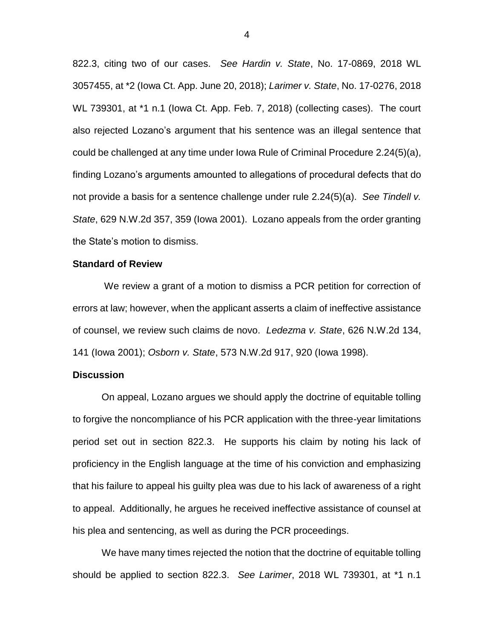822.3, citing two of our cases. *See Hardin v. State*, No. 17-0869, 2018 WL 3057455, at \*2 (Iowa Ct. App. June 20, 2018); *Larimer v. State*, No. 17-0276, 2018 WL 739301, at \*1 n.1 (Iowa Ct. App. Feb. 7, 2018) (collecting cases). The court also rejected Lozano's argument that his sentence was an illegal sentence that could be challenged at any time under Iowa Rule of Criminal Procedure 2.24(5)(a), finding Lozano's arguments amounted to allegations of procedural defects that do not provide a basis for a sentence challenge under rule 2.24(5)(a). *See Tindell v. State*, 629 N.W.2d 357, 359 (Iowa 2001). Lozano appeals from the order granting the State's motion to dismiss.

### **Standard of Review**

We review a grant of a motion to dismiss a PCR petition for correction of errors at law; however, when the applicant asserts a claim of ineffective assistance of counsel, we review such claims de novo. *Ledezma v. State*, 626 N.W.2d 134, 141 (Iowa 2001); *Osborn v. State*, 573 N.W.2d 917, 920 (Iowa 1998).

### **Discussion**

On appeal, Lozano argues we should apply the doctrine of equitable tolling to forgive the noncompliance of his PCR application with the three-year limitations period set out in section 822.3. He supports his claim by noting his lack of proficiency in the English language at the time of his conviction and emphasizing that his failure to appeal his guilty plea was due to his lack of awareness of a right to appeal. Additionally, he argues he received ineffective assistance of counsel at his plea and sentencing, as well as during the PCR proceedings.

We have many times rejected the notion that the doctrine of equitable tolling should be applied to section 822.3. *See Larimer*, 2018 WL 739301, at \*1 n.1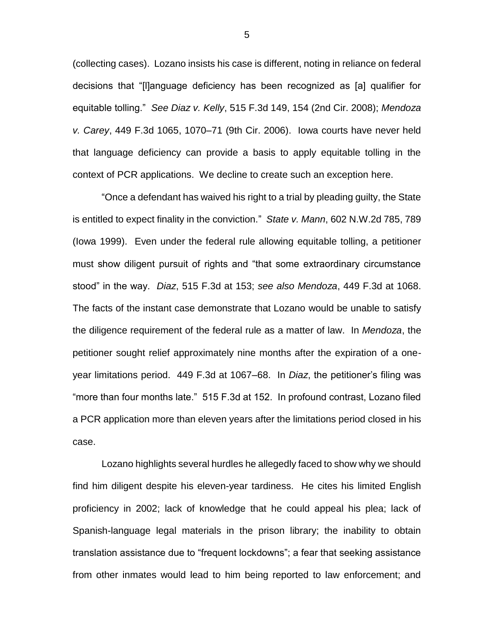(collecting cases). Lozano insists his case is different, noting in reliance on federal decisions that "[l]anguage deficiency has been recognized as [a] qualifier for equitable tolling." *See Diaz v. Kelly*, 515 F.3d 149, 154 (2nd Cir. 2008); *Mendoza v. Carey*, 449 F.3d 1065, 1070–71 (9th Cir. 2006). Iowa courts have never held that language deficiency can provide a basis to apply equitable tolling in the context of PCR applications. We decline to create such an exception here.

"Once a defendant has waived his right to a trial by pleading guilty, the State is entitled to expect finality in the conviction." *State v. Mann*, 602 N.W.2d 785, 789 (Iowa 1999). Even under the federal rule allowing equitable tolling, a petitioner must show diligent pursuit of rights and "that some extraordinary circumstance stood" in the way. *Diaz*, 515 F.3d at 153; *see also Mendoza*, 449 F.3d at 1068. The facts of the instant case demonstrate that Lozano would be unable to satisfy the diligence requirement of the federal rule as a matter of law. In *Mendoza*, the petitioner sought relief approximately nine months after the expiration of a oneyear limitations period. 449 F.3d at 1067–68. In *Diaz*, the petitioner's filing was "more than four months late." 515 F.3d at 152. In profound contrast, Lozano filed a PCR application more than eleven years after the limitations period closed in his case.

Lozano highlights several hurdles he allegedly faced to show why we should find him diligent despite his eleven-year tardiness. He cites his limited English proficiency in 2002; lack of knowledge that he could appeal his plea; lack of Spanish-language legal materials in the prison library; the inability to obtain translation assistance due to "frequent lockdowns"; a fear that seeking assistance from other inmates would lead to him being reported to law enforcement; and

5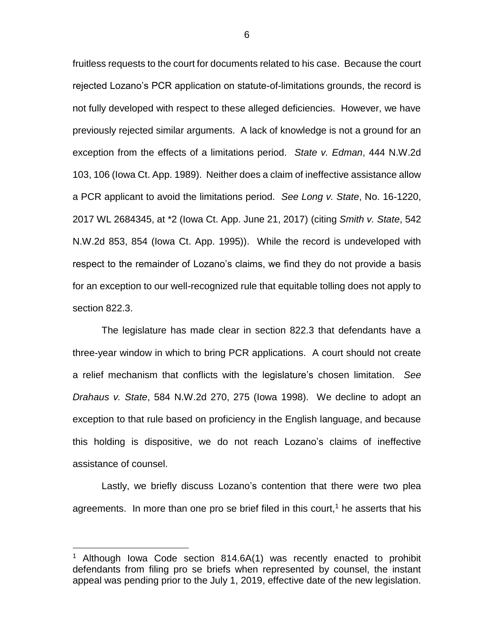fruitless requests to the court for documents related to his case. Because the court rejected Lozano's PCR application on statute-of-limitations grounds, the record is not fully developed with respect to these alleged deficiencies. However, we have previously rejected similar arguments. A lack of knowledge is not a ground for an exception from the effects of a limitations period. *State v. Edman*, 444 N.W.2d 103, 106 (Iowa Ct. App. 1989). Neither does a claim of ineffective assistance allow a PCR applicant to avoid the limitations period. *See Long v. State*, No. 16-1220, 2017 WL 2684345, at \*2 (Iowa Ct. App. June 21, 2017) (citing *Smith v. State*, 542 N.W.2d 853, 854 (Iowa Ct. App. 1995)).While the record is undeveloped with respect to the remainder of Lozano's claims, we find they do not provide a basis for an exception to our well-recognized rule that equitable tolling does not apply to section 822.3.

The legislature has made clear in section 822.3 that defendants have a three-year window in which to bring PCR applications. A court should not create a relief mechanism that conflicts with the legislature's chosen limitation. *See Drahaus v. State*, 584 N.W.2d 270, 275 (Iowa 1998). We decline to adopt an exception to that rule based on proficiency in the English language, and because this holding is dispositive, we do not reach Lozano's claims of ineffective assistance of counsel.

Lastly, we briefly discuss Lozano's contention that there were two plea agreements. In more than one pro se brief filed in this court,<sup>1</sup> he asserts that his

 $\overline{a}$ 

Although Iowa Code section 814.6A(1) was recently enacted to prohibit defendants from filing pro se briefs when represented by counsel, the instant appeal was pending prior to the July 1, 2019, effective date of the new legislation.